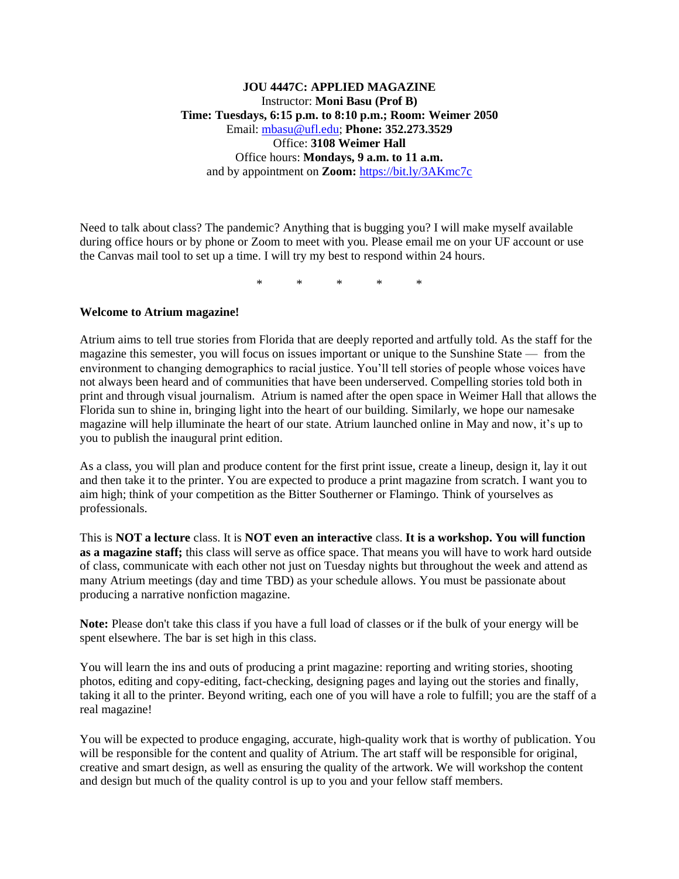## **JOU 4447C: APPLIED MAGAZINE** Instructor: **Moni Basu (Prof B) Time: Tuesdays, 6:15 p.m. to 8:10 p.m.; Room: Weimer 2050** Email: [mbasu@ufl.edu;](mailto:mbasu@ufl.edu) **Phone: 352.273.3529** Office: **3108 Weimer Hall** Office hours: **Mondays, 9 a.m. to 11 a.m.**  and by appointment on **Zoom:** <https://bit.ly/3AKmc7c>

Need to talk about class? The pandemic? Anything that is bugging you? I will make myself available during office hours or by phone or Zoom to meet with you. Please email me on your UF account or use the Canvas mail tool to set up a time. I will try my best to respond within 24 hours.

\* \* \* \* \*

### **Welcome to Atrium magazine!**

Atrium aims to tell true stories from Florida that are deeply reported and artfully told. As the staff for the magazine this semester, you will focus on issues important or unique to the Sunshine State — from the environment to changing demographics to racial justice. You'll tell stories of people whose voices have not always been heard and of communities that have been underserved. Compelling stories told both in print and through visual journalism. Atrium is named after the open space in Weimer Hall that allows the Florida sun to shine in, bringing light into the heart of our building. Similarly, we hope our namesake magazine will help illuminate the heart of our state. Atrium launched online in May and now, it's up to you to publish the inaugural print edition.

As a class, you will plan and produce content for the first print issue, create a lineup, design it, lay it out and then take it to the printer. You are expected to produce a print magazine from scratch. I want you to aim high; think of your competition as the Bitter Southerner or Flamingo. Think of yourselves as professionals.

This is **NOT a lecture** class. It is **NOT even an interactive** class. **It is a workshop. You will function as a magazine staff;** this class will serve as office space. That means you will have to work hard outside of class, communicate with each other not just on Tuesday nights but throughout the week and attend as many Atrium meetings (day and time TBD) as your schedule allows. You must be passionate about producing a narrative nonfiction magazine.

**Note:** Please don't take this class if you have a full load of classes or if the bulk of your energy will be spent elsewhere. The bar is set high in this class.

You will learn the ins and outs of producing a print magazine: reporting and writing stories, shooting photos, editing and copy-editing, fact-checking, designing pages and laying out the stories and finally, taking it all to the printer. Beyond writing, each one of you will have a role to fulfill; you are the staff of a real magazine!

You will be expected to produce engaging, accurate, high-quality work that is worthy of publication. You will be responsible for the content and quality of Atrium. The art staff will be responsible for original, creative and smart design, as well as ensuring the quality of the artwork. We will workshop the content and design but much of the quality control is up to you and your fellow staff members.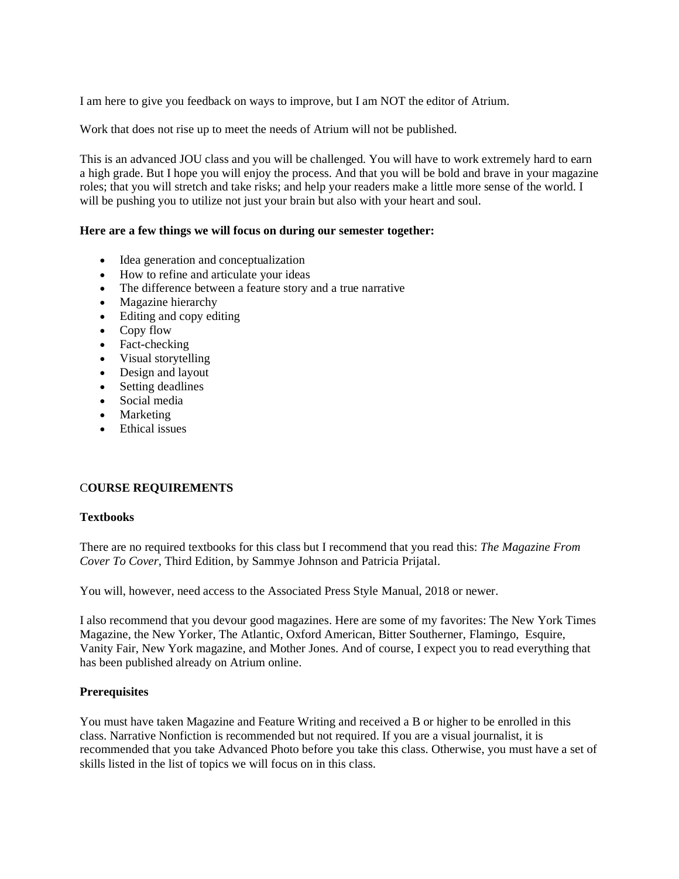I am here to give you feedback on ways to improve, but I am NOT the editor of Atrium.

Work that does not rise up to meet the needs of Atrium will not be published.

This is an advanced JOU class and you will be challenged. You will have to work extremely hard to earn a high grade. But I hope you will enjoy the process. And that you will be bold and brave in your magazine roles; that you will stretch and take risks; and help your readers make a little more sense of the world. I will be pushing you to utilize not just your brain but also with your heart and soul.

### **Here are a few things we will focus on during our semester together:**

- Idea generation and conceptualization
- How to refine and articulate your ideas
- The difference between a feature story and a true narrative
- Magazine hierarchy
- Editing and copy editing
- Copy flow
- Fact-checking
- Visual storytelling
- Design and layout
- Setting deadlines
- Social media
- Marketing
- Ethical issues

## C**OURSE REQUIREMENTS**

#### **Textbooks**

There are no required textbooks for this class but I recommend that you read this: *The Magazine From Cover To Cover*, Third Edition, by Sammye Johnson and Patricia Prijatal.

You will, however, need access to the Associated Press Style Manual, 2018 or newer.

I also recommend that you devour good magazines. Here are some of my favorites: The New York Times Magazine, the New Yorker, The Atlantic, Oxford American, Bitter Southerner, Flamingo, Esquire, Vanity Fair, New York magazine, and Mother Jones. And of course, I expect you to read everything that has been published already on Atrium online.

#### **Prerequisites**

You must have taken Magazine and Feature Writing and received a B or higher to be enrolled in this class. Narrative Nonfiction is recommended but not required. If you are a visual journalist, it is recommended that you take Advanced Photo before you take this class. Otherwise, you must have a set of skills listed in the list of topics we will focus on in this class.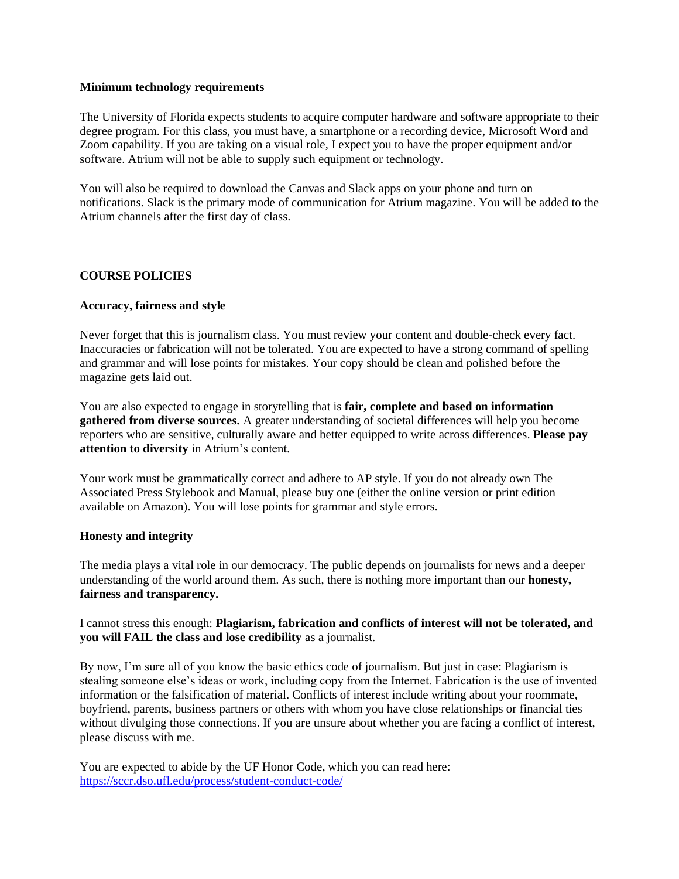#### **Minimum technology requirements**

The University of Florida expects students to acquire computer hardware and software appropriate to their degree program. For this class, you must have, a smartphone or a recording device, Microsoft Word and Zoom capability. If you are taking on a visual role, I expect you to have the proper equipment and/or software. Atrium will not be able to supply such equipment or technology.

You will also be required to download the Canvas and Slack apps on your phone and turn on notifications. Slack is the primary mode of communication for Atrium magazine. You will be added to the Atrium channels after the first day of class.

# **COURSE POLICIES**

## **Accuracy, fairness and style**

Never forget that this is journalism class. You must review your content and double-check every fact. Inaccuracies or fabrication will not be tolerated. You are expected to have a strong command of spelling and grammar and will lose points for mistakes. Your copy should be clean and polished before the magazine gets laid out.

You are also expected to engage in storytelling that is **fair, complete and based on information gathered from diverse sources.** A greater understanding of societal differences will help you become reporters who are sensitive, culturally aware and better equipped to write across differences. **Please pay attention to diversity** in Atrium's content.

Your work must be grammatically correct and adhere to AP style. If you do not already own The Associated Press Stylebook and Manual, please buy one (either the online version or print edition available on Amazon). You will lose points for grammar and style errors.

#### **Honesty and integrity**

The media plays a vital role in our democracy. The public depends on journalists for news and a deeper understanding of the world around them. As such, there is nothing more important than our **honesty, fairness and transparency.**

## I cannot stress this enough: **Plagiarism, fabrication and conflicts of interest will not be tolerated, and you will FAIL the class and lose credibility** as a journalist.

By now, I'm sure all of you know the basic ethics code of journalism. But just in case: Plagiarism is stealing someone else's ideas or work, including copy from the Internet. Fabrication is the use of invented information or the falsification of material. Conflicts of interest include writing about your roommate, boyfriend, parents, business partners or others with whom you have close relationships or financial ties without divulging those connections. If you are unsure about whether you are facing a conflict of interest, please discuss with me.

You are expected to abide by the UF Honor Code, which you can read here: <https://sccr.dso.ufl.edu/process/student-conduct-code/>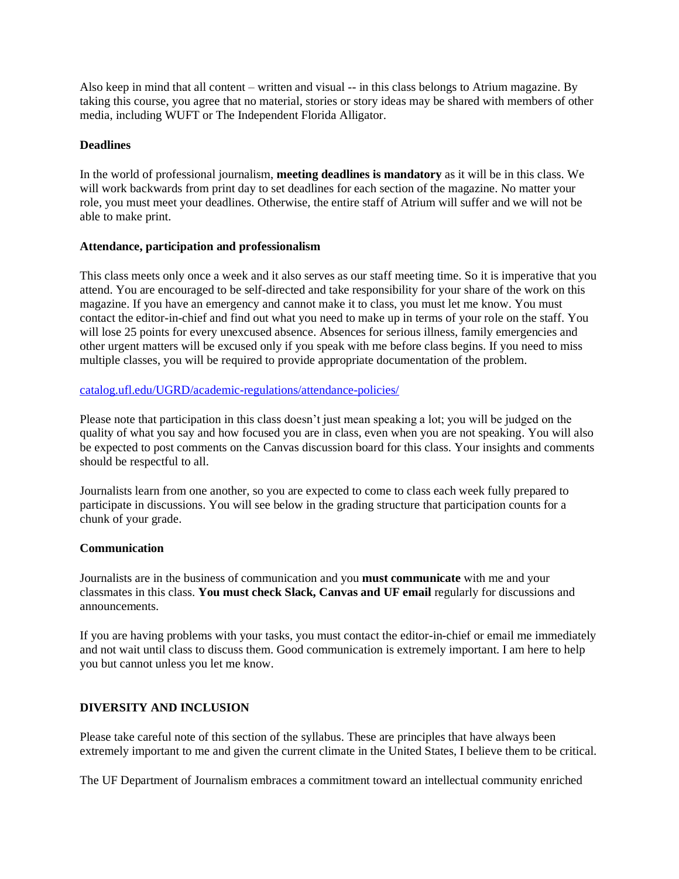Also keep in mind that all content – written and visual -- in this class belongs to Atrium magazine. By taking this course, you agree that no material, stories or story ideas may be shared with members of other media, including WUFT or The Independent Florida Alligator.

### **Deadlines**

In the world of professional journalism, **meeting deadlines is mandatory** as it will be in this class. We will work backwards from print day to set deadlines for each section of the magazine. No matter your role, you must meet your deadlines. Otherwise, the entire staff of Atrium will suffer and we will not be able to make print.

### **Attendance, participation and professionalism**

This class meets only once a week and it also serves as our staff meeting time. So it is imperative that you attend. You are encouraged to be self-directed and take responsibility for your share of the work on this magazine. If you have an emergency and cannot make it to class, you must let me know. You must contact the editor-in-chief and find out what you need to make up in terms of your role on the staff. You will lose 25 points for every unexcused absence. Absences for serious illness, family emergencies and other urgent matters will be excused only if you speak with me before class begins. If you need to miss multiple classes, you will be required to provide appropriate documentation of the problem.

### [catalog.ufl.edu/UGRD/academic-regulations/attendance-policies/](http://catalog.ufl.edu/UGRD/academic-regulations/attendance-policies/)

Please note that participation in this class doesn't just mean speaking a lot; you will be judged on the quality of what you say and how focused you are in class, even when you are not speaking. You will also be expected to post comments on the Canvas discussion board for this class. Your insights and comments should be respectful to all.

Journalists learn from one another, so you are expected to come to class each week fully prepared to participate in discussions. You will see below in the grading structure that participation counts for a chunk of your grade.

## **Communication**

Journalists are in the business of communication and you **must communicate** with me and your classmates in this class. **You must check Slack, Canvas and UF email** regularly for discussions and announcements.

If you are having problems with your tasks, you must contact the editor-in-chief or email me immediately and not wait until class to discuss them. Good communication is extremely important. I am here to help you but cannot unless you let me know.

## **DIVERSITY AND INCLUSION**

Please take careful note of this section of the syllabus. These are principles that have always been extremely important to me and given the current climate in the United States, I believe them to be critical.

The UF Department of Journalism embraces a commitment toward an intellectual community enriched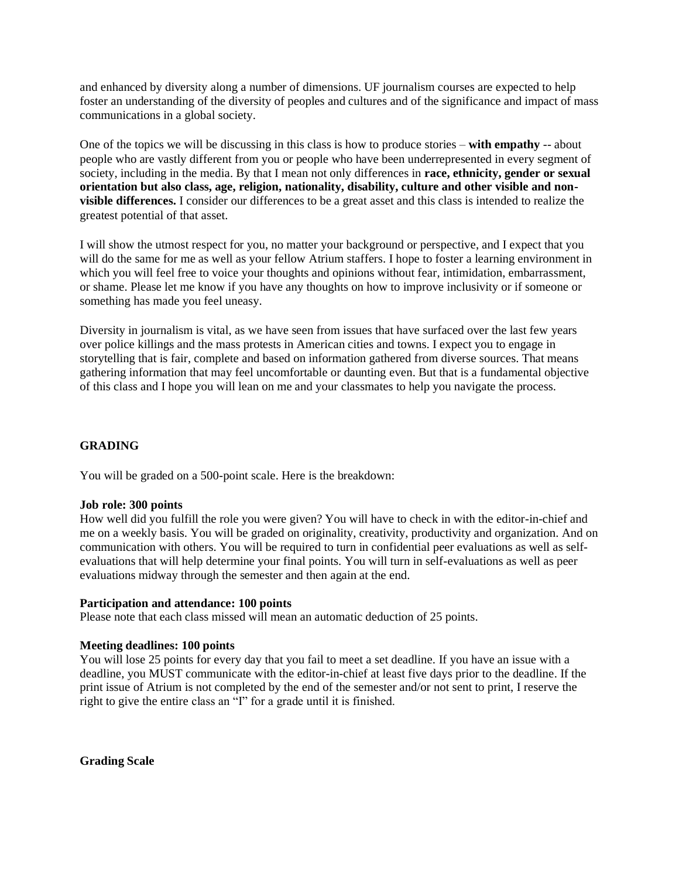and enhanced by diversity along a number of dimensions. UF journalism courses are expected to help foster an understanding of the diversity of peoples and cultures and of the significance and impact of mass communications in a global society.

One of the topics we will be discussing in this class is how to produce stories – **with empathy** -- about people who are vastly different from you or people who have been underrepresented in every segment of society, including in the media. By that I mean not only differences in **race, ethnicity, gender or sexual orientation but also class, age, religion, nationality, disability, culture and other visible and nonvisible differences.** I consider our differences to be a great asset and this class is intended to realize the greatest potential of that asset.

I will show the utmost respect for you, no matter your background or perspective, and I expect that you will do the same for me as well as your fellow Atrium staffers. I hope to foster a learning environment in which you will feel free to voice your thoughts and opinions without fear, intimidation, embarrassment, or shame. Please let me know if you have any thoughts on how to improve inclusivity or if someone or something has made you feel uneasy.

Diversity in journalism is vital, as we have seen from issues that have surfaced over the last few years over police killings and the mass protests in American cities and towns. I expect you to engage in storytelling that is fair, complete and based on information gathered from diverse sources. That means gathering information that may feel uncomfortable or daunting even. But that is a fundamental objective of this class and I hope you will lean on me and your classmates to help you navigate the process.

## **GRADING**

You will be graded on a 500-point scale. Here is the breakdown:

#### **Job role: 300 points**

How well did you fulfill the role you were given? You will have to check in with the editor-in-chief and me on a weekly basis. You will be graded on originality, creativity, productivity and organization. And on communication with others. You will be required to turn in confidential peer evaluations as well as selfevaluations that will help determine your final points. You will turn in self-evaluations as well as peer evaluations midway through the semester and then again at the end.

#### **Participation and attendance: 100 points**

Please note that each class missed will mean an automatic deduction of 25 points.

#### **Meeting deadlines: 100 points**

You will lose 25 points for every day that you fail to meet a set deadline. If you have an issue with a deadline, you MUST communicate with the editor-in-chief at least five days prior to the deadline. If the print issue of Atrium is not completed by the end of the semester and/or not sent to print, I reserve the right to give the entire class an "I" for a grade until it is finished.

**Grading Scale**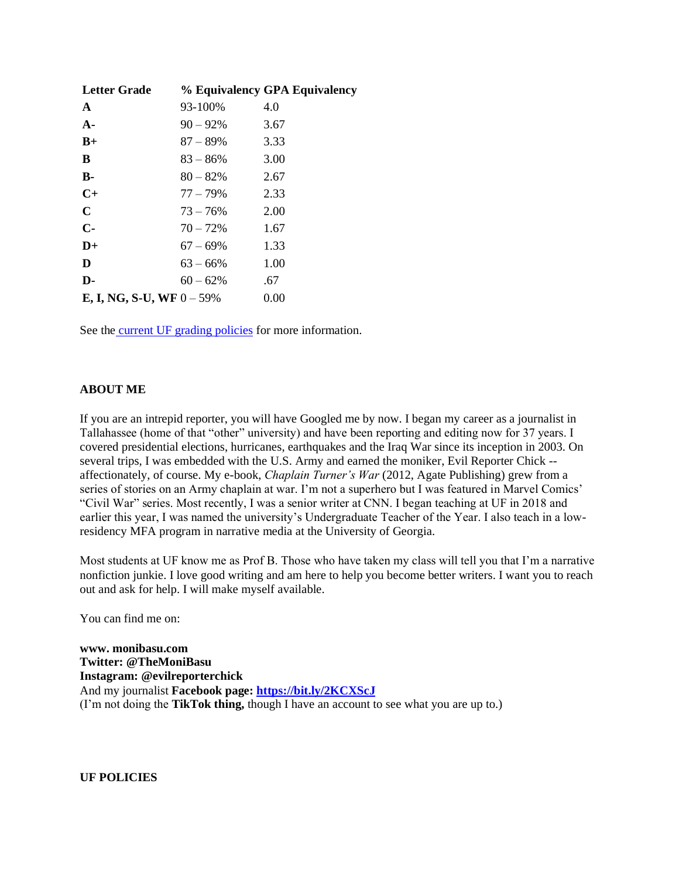| <b>Letter Grade</b>                 |             | % Equivalency GPA Equivalency |
|-------------------------------------|-------------|-------------------------------|
| $\mathbf{A}$                        | 93-100%     | 4.0                           |
| $A -$                               | $90 - 92\%$ | 3.67                          |
| $B+$                                | $87 - 89\%$ | 3.33                          |
| B                                   | $83 - 86\%$ | 3.00                          |
| $B -$                               | $80 - 82\%$ | 2.67                          |
| $C+$                                | 77 – 79%    | 2.33                          |
| $\mathbf C$                         | $73 - 76\%$ | 2.00                          |
| $C-$                                | $70 - 72\%$ | 1.67                          |
| $D+$                                | $67 - 69\%$ | 1.33                          |
| D                                   | $63 - 66\%$ | 1.00                          |
| D-                                  | $60 - 62\%$ | .67                           |
| <b>E, I, NG, S-U, WF</b> $0 - 59\%$ |             | 0.00                          |

See the [current UF grading policies](https://catalog.ufl.edu/ugrad/current/regulations/info/grades.aspx) for more information.

### **ABOUT ME**

If you are an intrepid reporter, you will have Googled me by now. I began my career as a journalist in Tallahassee (home of that "other" university) and have been reporting and editing now for 37 years. I covered presidential elections, hurricanes, earthquakes and the Iraq War since its inception in 2003. On several trips, I was embedded with the U.S. Army and earned the moniker, Evil Reporter Chick - affectionately, of course. My e-book, *Chaplain Turner's War* (2012, Agate Publishing) grew from a series of stories on an Army chaplain at war. I'm not a superhero but I was featured in Marvel Comics' "Civil War" series. Most recently, I was a senior writer at CNN. I began teaching at UF in 2018 and earlier this year, I was named the university's Undergraduate Teacher of the Year. I also teach in a lowresidency MFA program in narrative media at the University of Georgia.

Most students at UF know me as Prof B. Those who have taken my class will tell you that I'm a narrative nonfiction junkie. I love good writing and am here to help you become better writers. I want you to reach out and ask for help. I will make myself available.

You can find me on:

**www. monibasu.com Twitter: @TheMoniBasu Instagram: @evilreporterchick** And my journalist **Facebook page:<https://bit.ly/2KCXScJ>** (I'm not doing the **TikTok thing,** though I have an account to see what you are up to.)

**UF POLICIES**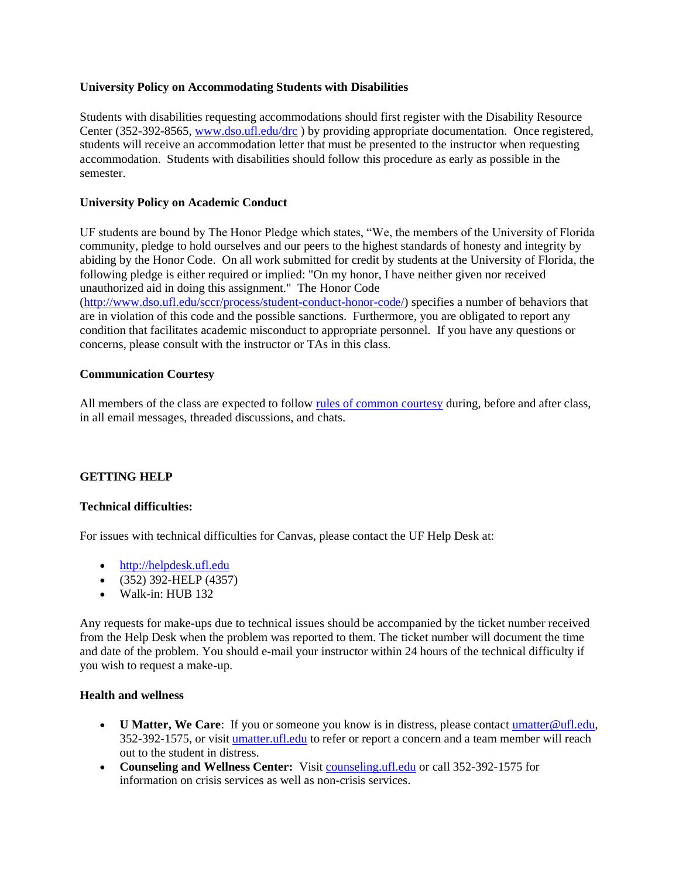## **University Policy on Accommodating Students with Disabilities**

Students with disabilities requesting accommodations should first register with the Disability Resource Center (352-392-8565[, www.dso.ufl.edu/drc](http://www.dso.ufl.edu/drc) ) by providing appropriate documentation. Once registered, students will receive an accommodation letter that must be presented to the instructor when requesting accommodation. Students with disabilities should follow this procedure as early as possible in the semester.

### **University Policy on Academic Conduct**

UF students are bound by The Honor Pledge which states, "We, the members of the University of Florida community, pledge to hold ourselves and our peers to the highest standards of honesty and integrity by abiding by the Honor Code. On all work submitted for credit by students at the University of Florida, the following pledge is either required or implied: "On my honor, I have neither given nor received unauthorized aid in doing this assignment." The Honor Code

[\(http://www.dso.ufl.edu/sccr/process/student-conduct-honor-code/\)](http://www.dso.ufl.edu/sccr/process/student-conduct-honor-code/) specifies a number of behaviors that are in violation of this code and the possible sanctions. Furthermore, you are obligated to report any condition that facilitates academic misconduct to appropriate personnel. If you have any questions or concerns, please consult with the instructor or TAs in this class.

### **Communication Courtesy**

All members of the class are expected to follow [rules of common courtesy](http://teach.ufl.edu/wp-content/uploads/2012/08/NetiquetteGuideforOnlineCourses.pdf) during, before and after class, in all email messages, threaded discussions, and chats.

## **GETTING HELP**

#### **Technical difficulties:**

For issues with technical difficulties for Canvas, please contact the UF Help Desk at:

- [http://helpdesk.ufl.edu](http://helpdesk.ufl.edu/)
- (352) 392-HELP (4357)
- Walk-in: HUB 132

Any requests for make-ups due to technical issues should be accompanied by the ticket number received from the Help Desk when the problem was reported to them. The ticket number will document the time and date of the problem. You should e-mail your instructor within 24 hours of the technical difficulty if you wish to request a make-up.

### **Health and wellness**

- **U Matter, We Care**: If you or someone you know is in distress, please contact umatter @ufl.edu, 352-392-1575, or visit [umatter.ufl.edu](http://umatter.ufl.edu/) to refer or report a concern and a team member will reach out to the student in distress.
- **Counseling and Wellness Center:** Visit [counseling.ufl.edu](http://counseling.ufl.edu/) or call 352-392-1575 for information on crisis services as well as non-crisis services.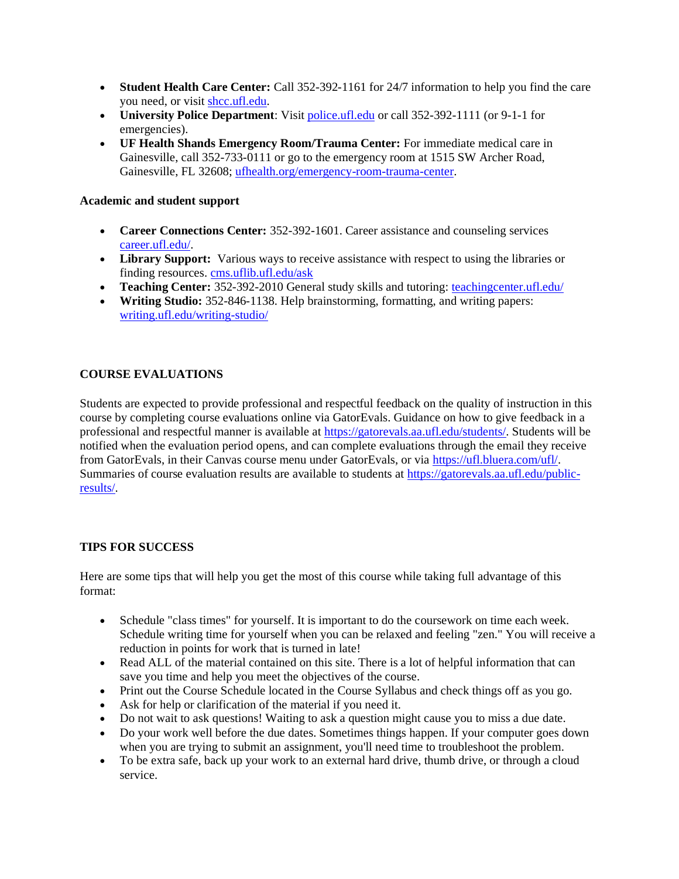- **Student Health Care Center:** Call 352-392-1161 for 24/7 information to help you find the care you need, or visit [shcc.ufl.edu.](http://shcc.ufl.edu/)
- **University Police Department**: Visit [police.ufl.edu](http://police.ufl.edu/) or call 352-392-1111 (or 9-1-1 for emergencies).
- **UF Health Shands Emergency Room/Trauma Center:** For immediate medical care in Gainesville, call 352-733-0111 or go to the emergency room at 1515 SW Archer Road, Gainesville, FL 32608; [ufhealth.org/emergency-room-trauma-center.](http://ufhealth.org/emergency-room-trauma-center)

## **Academic and student support**

- **Career Connections Center:** 352-392-1601. Career assistance and counseling services [career.ufl.edu/.](http://career.ufl.edu/)
- **Library Support:** Various ways to receive assistance with respect to using the libraries or finding resources[. cms.uflib.ufl.edu/ask](http://cms.uflib.ufl.edu/ask)
- **Teaching Center:** 352-392-2010 General study skills and tutoring: [teachingcenter.ufl.edu/](http://teachingcenter.ufl.edu/)
- **Writing Studio:** 352-846-1138. Help brainstorming, formatting, and writing papers: [writing.ufl.edu/writing-studio/](http://writing.ufl.edu/writing-studio/)

# **COURSE EVALUATIONS**

Students are expected to provide professional and respectful feedback on the quality of instruction in this course by completing course evaluations online via GatorEvals. Guidance on how to give feedback in a professional and respectful manner is available at [https://gatorevals.aa.ufl.edu/students/.](https://gatorevals.aa.ufl.edu/students/) Students will be notified when the evaluation period opens, and can complete evaluations through the email they receive from GatorEvals, in their Canvas course menu under GatorEvals, or via [https://ufl.bluera.com/ufl/.](https://urldefense.proofpoint.com/v2/url?u=https-3A__ufl.bluera.com_ufl_&d=DwMFAg&c=sJ6xIWYx-zLMB3EPkvcnVg&r=y2HjEMjRMHJhfdvLrqJZlYczRsfp5e4TfQjHuc5rVHg&m=WXko6OK_Ha6T00ZVAsEaSh99qRXHOgMNFRywCoehRho&s=itVU46DDJjnIg4CW6efJOOLgPjdzsPvCghyfzJoFONs&e=) Summaries of course evaluation results are available to students at [https://gatorevals.aa.ufl.edu/public](https://gatorevals.aa.ufl.edu/public-results/)[results/.](https://gatorevals.aa.ufl.edu/public-results/)

## **TIPS FOR SUCCESS**

Here are some tips that will help you get the most of this course while taking full advantage of this format:

- Schedule "class times" for yourself. It is important to do the coursework on time each week. Schedule writing time for yourself when you can be relaxed and feeling "zen." You will receive a reduction in points for work that is turned in late!
- Read ALL of the material contained on this site. There is a lot of helpful information that can save you time and help you meet the objectives of the course.
- Print out the Course Schedule located in the Course Syllabus and check things off as you go.
- Ask for help or clarification of the material if you need it.
- Do not wait to ask questions! Waiting to ask a question might cause you to miss a due date.
- Do your work well before the due dates. Sometimes things happen. If your computer goes down when you are trying to submit an assignment, you'll need time to troubleshoot the problem.
- To be extra safe, back up your work to an external hard drive, thumb drive, or through a cloud service.